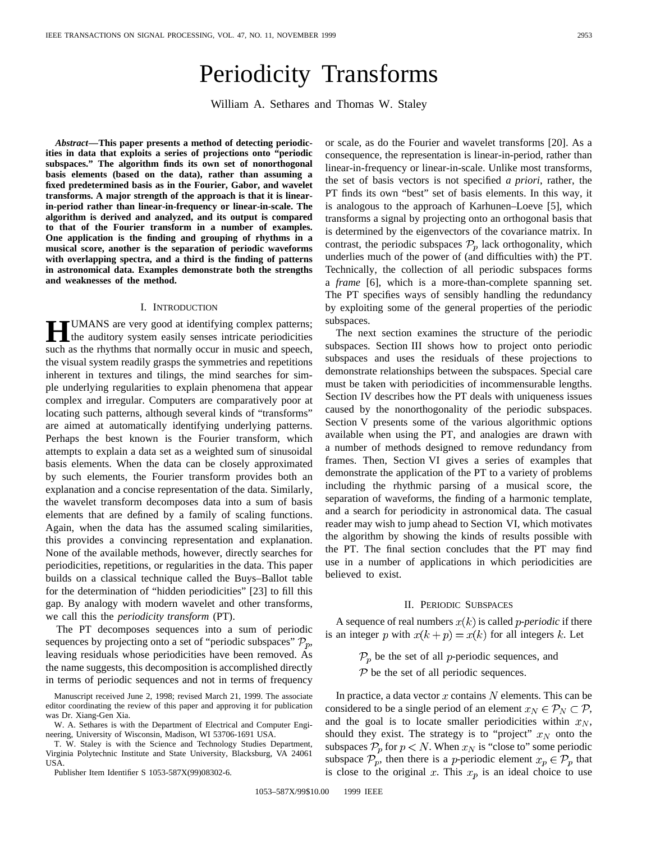# Periodicity Transforms

William A. Sethares and Thomas W. Staley

*Abstract—***This paper presents a method of detecting periodicities in data that exploits a series of projections onto "periodic subspaces." The algorithm finds its own set of nonorthogonal basis elements (based on the data), rather than assuming a fixed predetermined basis as in the Fourier, Gabor, and wavelet transforms. A major strength of the approach is that it is linearin-period rather than linear-in-frequency or linear-in-scale. The algorithm is derived and analyzed, and its output is compared to that of the Fourier transform in a number of examples. One application is the finding and grouping of rhythms in a musical score, another is the separation of periodic waveforms with overlapping spectra, and a third is the finding of patterns in astronomical data. Examples demonstrate both the strengths and weaknesses of the method.**

#### I. INTRODUCTION

**HUMANS** are very good at identifying complex patterns;<br>the auditory system easily senses intricate periodicities such as the rhythms that normally occur in music and speech, the visual system readily grasps the symmetries and repetitions inherent in textures and tilings, the mind searches for simple underlying regularities to explain phenomena that appear complex and irregular. Computers are comparatively poor at locating such patterns, although several kinds of "transforms" are aimed at automatically identifying underlying patterns. Perhaps the best known is the Fourier transform, which attempts to explain a data set as a weighted sum of sinusoidal basis elements. When the data can be closely approximated by such elements, the Fourier transform provides both an explanation and a concise representation of the data. Similarly, the wavelet transform decomposes data into a sum of basis elements that are defined by a family of scaling functions. Again, when the data has the assumed scaling similarities, this provides a convincing representation and explanation. None of the available methods, however, directly searches for periodicities, repetitions, or regularities in the data. This paper builds on a classical technique called the Buys–Ballot table for the determination of "hidden periodicities" [23] to fill this gap. By analogy with modern wavelet and other transforms, we call this the *periodicity transform* (PT).

The PT decomposes sequences into a sum of periodic sequences by projecting onto a set of "periodic subspaces"  $\mathcal{P}_p$ , leaving residuals whose periodicities have been removed. As the name suggests, this decomposition is accomplished directly in terms of periodic sequences and not in terms of frequency

Manuscript received June 2, 1998; revised March 21, 1999. The associate editor coordinating the review of this paper and approving it for publication was Dr. Xiang-Gen Xia.

W. A. Sethares is with the Department of Electrical and Computer Engineering, University of Wisconsin, Madison, WI 53706-1691 USA.

T. W. Staley is with the Science and Technology Studies Department, Virginia Polytechnic Institute and State University, Blacksburg, VA 24061 USA.

Publisher Item Identifier S 1053-587X(99)08302-6.

or scale, as do the Fourier and wavelet transforms [20]. As a consequence, the representation is linear-in-period, rather than linear-in-frequency or linear-in-scale. Unlike most transforms, the set of basis vectors is not specified *a priori*, rather, the PT finds its own "best" set of basis elements. In this way, it is analogous to the approach of Karhunen–Loeve [5], which transforms a signal by projecting onto an orthogonal basis that is determined by the eigenvectors of the covariance matrix. In contrast, the periodic subspaces  $\mathcal{P}_p$  lack orthogonality, which underlies much of the power of (and difficulties with) the PT. Technically, the collection of all periodic subspaces forms a *frame* [6], which is a more-than-complete spanning set. The PT specifies ways of sensibly handling the redundancy by exploiting some of the general properties of the periodic subspaces.

The next section examines the structure of the periodic subspaces. Section III shows how to project onto periodic subspaces and uses the residuals of these projections to demonstrate relationships between the subspaces. Special care must be taken with periodicities of incommensurable lengths. Section IV describes how the PT deals with uniqueness issues caused by the nonorthogonality of the periodic subspaces. Section V presents some of the various algorithmic options available when using the PT, and analogies are drawn with a number of methods designed to remove redundancy from frames. Then, Section VI gives a series of examples that demonstrate the application of the PT to a variety of problems including the rhythmic parsing of a musical score, the separation of waveforms, the finding of a harmonic template, and a search for periodicity in astronomical data. The casual reader may wish to jump ahead to Section VI, which motivates the algorithm by showing the kinds of results possible with the PT. The final section concludes that the PT may find use in a number of applications in which periodicities are believed to exist.

#### II. PERIODIC SUBSPACES

A sequence of real numbers  $x(k)$  is called *p-periodic* if there is an integer p with  $x(k+p) = x(k)$  for all integers k. Let

> $P_p$  be the set of all *p*-periodic sequences, and  $P$  be the set of all periodic sequences.

In practice, a data vector  $x$  contains  $N$  elements. This can be considered to be a single period of an element  $x_N \in \mathcal{P}_N \subset \mathcal{P}$ , and the goal is to locate smaller periodicities within  $x<sub>N</sub>$ , should they exist. The strategy is to "project"  $x_N$  onto the subspaces  $P_p$  for  $p < N$ . When  $x_N$  is "close to" some periodic subspace  $\mathcal{P}_p$ , then there is a p-periodic element  $x_p \in \mathcal{P}_p$  that is close to the original x. This  $x_p$  is an ideal choice to use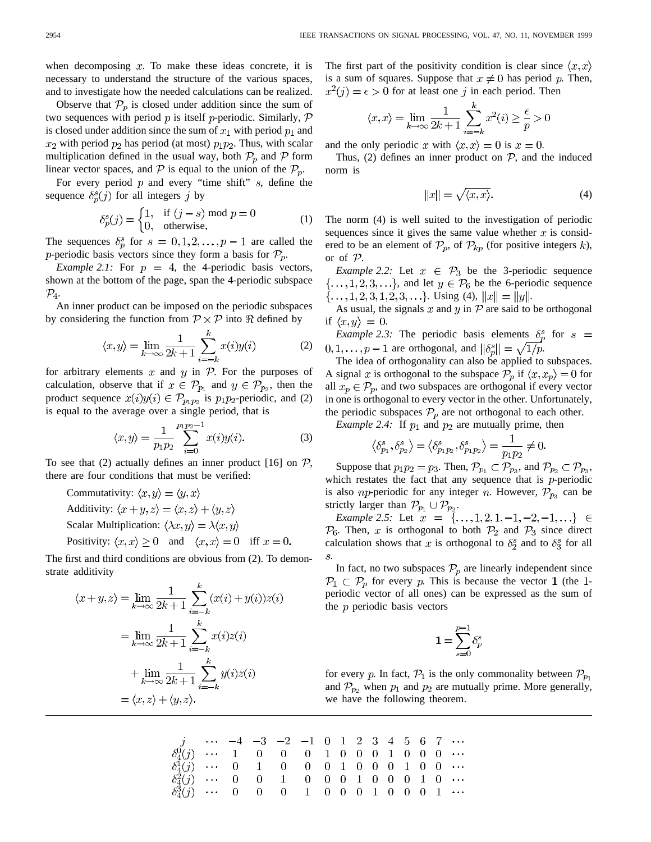when decomposing  $x$ . To make these ideas concrete, it is necessary to understand the structure of the various spaces, and to investigate how the needed calculations can be realized.

Observe that  $\mathcal{P}_p$  is closed under addition since the sum of two sequences with period  $p$  is itself  $p$ -periodic. Similarly,  $\mathcal{P}$ is closed under addition since the sum of  $x_1$  with period  $p_1$  and  $x_2$  with period  $p_2$  has period (at most)  $p_1p_2$ . Thus, with scalar multiplication defined in the usual way, both  $\mathcal{P}_p$  and  $\mathcal P$  form linear vector spaces, and  $P$  is equal to the union of the  $P_p$ .

For every period  $p$  and every "time shift"  $s$ , define the sequence  $\delta_n^s(j)$  for all integers j by

$$
\delta_p^s(j) = \begin{cases} 1, & \text{if } (j-s) \text{ mod } p = 0 \\ 0, & \text{otherwise.} \end{cases}
$$
 (1)

The sequences  $\delta_p^s$  for  $s = 0, 1, 2, \ldots, p-1$  are called the *p*-periodic basis vectors since they form a basis for  $P_p$ .

*Example 2.1:* For  $p = 4$ , the 4-periodic basis vectors, shown at the bottom of the page, span the 4-periodic subspace  $\mathcal{P}_4$ .

An inner product can be imposed on the periodic subspaces by considering the function from  $\mathcal{P} \times \mathcal{P}$  into  $\Re$  defined by

$$
\langle x, y \rangle = \lim_{k \to \infty} \frac{1}{2k+1} \sum_{i=-k}^{k} x(i)y(i)
$$
 (2)

for arbitrary elements x and y in  $P$ . For the purposes of calculation, observe that if  $x \in \mathcal{P}_{p_1}$  and  $y \in \mathcal{P}_{p_2}$ , then the product sequence  $x(i)y(i) \in \mathcal{P}_{p_1p_2}$  is  $p_1p_2$ -periodic, and (2) is equal to the average over a single period, that is

$$
\langle x, y \rangle = \frac{1}{p_1 p_2} \sum_{i=0}^{p_1 p_2 - 1} x(i) y(i).
$$
 (3)

To see that (2) actually defines an inner product [16] on  $P$ , there are four conditions that must be verified:

Commutativity:  $\langle x, y \rangle = \langle y, x \rangle$ Additivity:  $\langle x+y,z\rangle = \langle x,z\rangle + \langle y,z\rangle$ Scalar Multiplication:  $\langle \lambda x, y \rangle = \lambda \langle x, y \rangle$ 

Positivity:  $\langle x, x \rangle \ge 0$  and  $\langle x, x \rangle = 0$  iff  $x = 0$ .

The first and third conditions are obvious from (2). To demonstrate additivity

$$
\langle x + y, z \rangle = \lim_{k \to \infty} \frac{1}{2k+1} \sum_{i=-k}^{k} (x(i) + y(i))z(i)
$$

$$
= \lim_{k \to \infty} \frac{1}{2k+1} \sum_{i=-k}^{k} x(i)z(i)
$$

$$
+ \lim_{k \to \infty} \frac{1}{2k+1} \sum_{i=-k}^{k} y(i)z(i)
$$

$$
= \langle x, z \rangle + \langle y, z \rangle.
$$

The first part of the positivity condition is clear since  $\langle x, x \rangle$ is a sum of squares. Suppose that  $x \neq 0$  has period p. Then,  $f(x^2(j) = \epsilon > 0$  for at least one j in each period. Then

$$
\langle x, x \rangle = \lim_{k \to \infty} \frac{1}{2k+1} \sum_{i=-k}^{k} x^2(i) \ge \frac{\epsilon}{p} > 0
$$

and the only periodic x with  $\langle x, x \rangle = 0$  is  $x = 0$ .

Thus, (2) defines an inner product on  $P$ , and the induced norm is

$$
||x|| = \sqrt{\langle x, x \rangle}.
$$
 (4)

The norm (4) is well suited to the investigation of periodic sequences since it gives the same value whether  $x$  is considered to be an element of  $\mathcal{P}_p$ , of  $\mathcal{P}_{kp}$  (for positive integers k), or of  $P$ .

*Example 2.2:* Let  $x \in \mathcal{P}_3$  be the 3-periodic sequence  $\{\ldots, 1, 2, 3, \ldots\}$ , and let  $y \in \mathcal{P}_6$  be the 6-periodic sequence  $\{\ldots,1,2,3,1,2,3,\ldots\}$ . Using (4),  $||x|| = ||y||$ .

As usual, the signals  $x$  and  $y$  in  $P$  are said to be orthogonal if  $\langle x,y\rangle = 0$ .

*Example 2.3:* The periodic basis elements  $\delta_p^s$  for  $s =$  $[0, 1, \ldots, p-1]$  are orthogonal, and  $\|\delta_p^s\| = \sqrt{1/p}$ .

The idea of orthogonality can also be applied to subspaces. A signal x is orthogonal to the subspace  $\mathcal{P}_p$  if  $\langle x, x_p \rangle = 0$  for all  $x_p \in \mathcal{P}_p$ , and two subspaces are orthogonal if every vector in one is orthogonal to every vector in the other. Unfortunately, the periodic subspaces  $P_p$  are not orthogonal to each other.

*Example 2.4:* If  $p_1$  and  $p_2$  are mutually prime, then

$$
\left\langle \delta_{p_1}^s, \delta_{p_2}^s \right\rangle = \left\langle \delta_{p_1 p_2}^s, \delta_{p_1 p_2}^s \right\rangle = \frac{1}{p_1 p_2} \neq 0.
$$

Suppose that  $p_1p_2 = p_3$ . Then,  $\mathcal{P}_{p_1} \subset \mathcal{P}_{p_3}$ , and  $\mathcal{P}_{p_2} \subset \mathcal{P}_{p_3}$ , which restates the fact that any sequence that is  $p$ -periodic is also *np*-periodic for any integer *n*. However,  $P_{p_3}$  can be strictly larger than  $\mathcal{P}_{p_1} \cup \mathcal{P}_{p_2}$ .

*Example 2.5:* Let  $\mathcal{P}_6$ . Then, x is orthogonal to both  $\mathcal{P}_2$  and  $\mathcal{P}_3$  since direct calculation shows that x is orthogonal to  $\delta_2^s$  and to  $\delta_3^s$  for all .

In fact, no two subspaces  $P_p$  are linearly independent since  $\mathcal{P}_1 \subset \mathcal{P}_p$  for every p. This is because the vector 1 (the 1periodic vector of all ones) can be expressed as the sum of the  $p$  periodic basis vectors

$$
1=\sum_{s=0}^{p-1}\delta_p^s
$$

for every p. In fact,  $P_1$  is the only commonality between  $P_{p_1}$ and  $\mathcal{P}_{p_2}$  when  $p_1$  and  $p_2$  are mutually prime. More generally, we have the following theorem.

| $j \cdots -4 -3 -2 -1 0 1 2 3 4 5 6 7 \cdots$             |  |  |  |  |  |  |  |
|-----------------------------------------------------------|--|--|--|--|--|--|--|
| $\delta_4^0(j)$ $\cdots$ 1 0 0 0 1 0 0 0 1 0 0 0 $\cdots$ |  |  |  |  |  |  |  |
| $\delta_4^1(j)$ $\cdots$ 0 1 0 0 0 1 0 0 0 1 0 0 $\cdots$ |  |  |  |  |  |  |  |
| $\delta_4^2(j)$ $\cdots$ 0 0 1 0 0 0 1 0 0 0 1 0 $\cdots$ |  |  |  |  |  |  |  |
| $\delta_4^3(j)$ 0 0 0 1 0 0 0 1 0 0 0 1                   |  |  |  |  |  |  |  |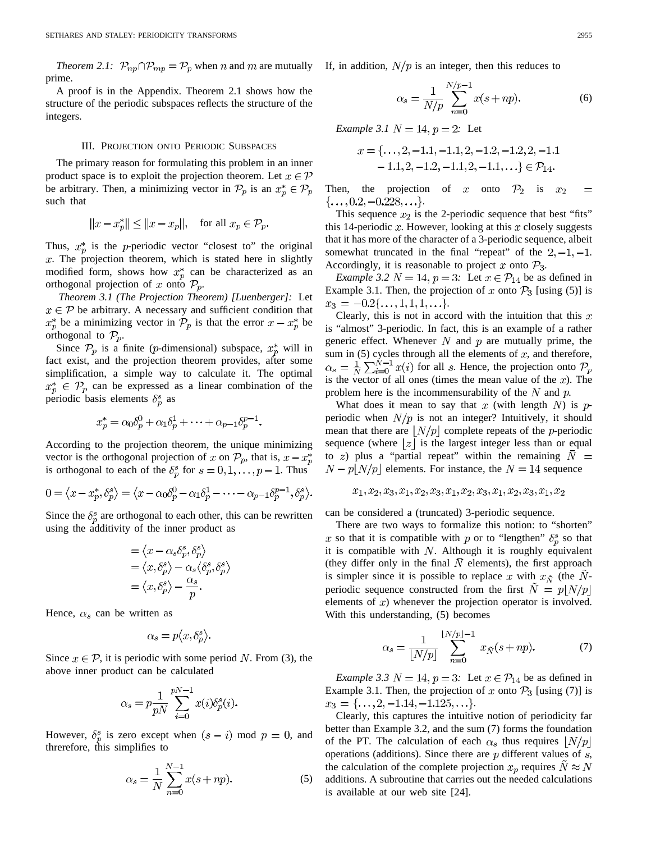*Theorem 2.1:*  $\mathcal{P}_{np} \cap \mathcal{P}_{mp} = \mathcal{P}_p$  when n and m are mutually If, in addition,  $N/p$  is an integer, then this reduces to prime.

A proof is in the Appendix. Theorem 2.1 shows how the structure of the periodic subspaces reflects the structure of the integers.

## III. PROJECTION ONTO PERIODIC SUBSPACES

The primary reason for formulating this problem in an inner product space is to exploit the projection theorem. Let  $x \in \mathcal{P}$ be arbitrary. Then, a minimizing vector in  $\mathcal{P}_p$  is an  $x_p^* \in \mathcal{P}_p$ such that

$$
||x - x_p^*|| \le ||x - x_p||, \text{ for all } x_p \in \mathcal{P}_p.
$$

Thus,  $x_p^*$  is the p-periodic vector "closest to" the original  $x$ . The projection theorem, which is stated here in slightly modified form, shows how  $x_p^*$  can be characterized as an orthogonal projection of x onto  $P_p$ .

*Theorem 3.1 (The Projection Theorem) [Luenberger]:* Let  $x \in \mathcal{P}$  be arbitrary. A necessary and sufficient condition that  $x_p^*$  be a minimizing vector in  $\mathcal{P}_p$  is that the error  $x - x_p^*$  be orthogonal to  $P_p$ .

Since  $\mathcal{P}_p$  is a finite (*p*-dimensional) subspace,  $x_p^*$  will in fact exist, and the projection theorem provides, after some simplification, a simple way to calculate it. The optimal  $x_p^* \in \mathcal{P}_p$  can be expressed as a linear combination of the periodic basis elements  $\delta_p^s$  as

$$
x_p^* = \alpha_0 \delta_p^0 + \alpha_1 \delta_p^1 + \dots + \alpha_{p-1} \delta_p^{p-1}.
$$

According to the projection theorem, the unique minimizing vector is the orthogonal projection of x on  $\mathcal{P}_p$ , that is,  $x - x_p^*$ is orthogonal to each of the  $\delta_p^s$  for  $s = 0, 1, \dots, p - 1$ . Thus

$$
0 = \langle x - x_p^*, \delta_p^s \rangle = \langle x - \alpha_0 \delta_p^0 - \alpha_1 \delta_p^1 - \dots - \alpha_{p-1} \delta_p^{p-1}, \delta_p^s \rangle.
$$

Since the  $\delta_p^s$  are orthogonal to each other, this can be rewritten using the additivity of the inner product as

$$
\begin{aligned}\n&= \langle x - \alpha_s \delta_p^s, \delta_p^s \rangle \\
&= \langle x, \delta_p^s \rangle - \alpha_s \langle \delta_p^s, \delta_p^s \rangle \\
&= \langle x, \delta_p^s \rangle - \frac{\alpha_s}{p}.\n\end{aligned}
$$

Hence,  $\alpha_s$  can be written as

$$
\alpha_s = p \langle x, \delta_p^s \rangle.
$$

Since  $x \in \mathcal{P}$ , it is periodic with some period N. From (3), the above inner product can be calculated

$$
\alpha_s = p \frac{1}{pN} \sum_{i=0}^{pN-1} x(i) \delta_p^s(i).
$$

However,  $\delta_p^s$  is zero except when  $(s - i)$  mod  $p = 0$ , and threrefore, this simplifies to

$$
\alpha_s = \frac{1}{N} \sum_{n=0}^{N-1} x(s + np).
$$
 (5)

$$
\alpha_s = \frac{1}{N/p} \sum_{n=0}^{N/p-1} x(s+np).
$$
 (6)

*Example 3.1 N* = 14,  $p = 2$ *:* Let

$$
x = \{\ldots, 2, -1.1, -1.1, 2, -1.2, -1.2, 2, -1.1 -1.1, 2, -1.2, -1.1, 2, -1.1, \ldots\} \in \mathcal{P}_{14}.
$$

Then, the projection of x onto  $\mathcal{P}_2$  is  $\equiv$  $x_2$  $\{\ldots, 0.2, -0.228, \ldots\}.$ 

This sequence  $x_2$  is the 2-periodic sequence that best "fits" this 14-periodic  $x$ . However, looking at this  $x$  closely suggests that it has more of the character of a 3-periodic sequence, albeit somewhat truncated in the final "repeat" of the  $2, -1, -1$ . Accordingly, it is reasonable to project x onto  $P_3$ .

*Example 3.2*  $N = 14$ ,  $p = 3$ : Let  $x \in \mathcal{P}_{14}$  be as defined in Example 3.1. Then, the projection of x onto  $\mathcal{P}_3$  [using (5)] is  $x_3 = -0.2\{\ldots,1,1,1,\ldots\}.$ 

Clearly, this is not in accord with the intuition that this  $x$ is "almost" 3-periodic. In fact, this is an example of a rather generic effect. Whenever N and p are mutually prime, the sum in (5) cycles through all the elements of  $x$ , and therefore, for all s. Hence, the projection onto is the vector of all ones (times the mean value of the  $x$ ). The problem here is the incommensurability of the  $N$  and  $p$ .

What does it mean to say that x (with length  $N$ ) is pperiodic when  $N/p$  is not an integer? Intuitively, it should mean that there are  $|N/p|$  complete repeats of the *p*-periodic sequence (where  $|z|$  is the largest integer less than or equal to z) plus a "partial repeat" within the remaining  $\overline{N}$  =  $N-p[N/p]$  elements. For instance, the  $N=14$  sequence

$$
x_1, x_2, x_3, x_1, x_2, x_3, x_1, x_2, x_3, x_1, x_2, x_3, x_1, x_2
$$

can be considered a (truncated) 3-periodic sequence.

There are two ways to formalize this notion: to "shorten" x so that it is compatible with p or to "lengthen"  $\delta_p^s$  so that it is compatible with  $N$ . Although it is roughly equivalent (they differ only in the final  $\overline{N}$  elements), the first approach is simpler since it is possible to replace x with  $x_{\tilde{N}}$  (the Nperiodic sequence constructed from the first  $\tilde{N} = p\lfloor N/p \rfloor$ elements of  $x$ ) whenever the projection operator is involved. With this understanding, (5) becomes

$$
\alpha_s = \frac{1}{\lfloor N/p \rfloor} \sum_{n=0}^{\lfloor N/p \rfloor - 1} x_{\tilde{N}}(s + np). \tag{7}
$$

*Example 3.3*  $N = 14$ ,  $p = 3$ : Let  $x \in \mathcal{P}_{14}$  be as defined in Example 3.1. Then, the projection of x onto  $\mathcal{P}_3$  [using (7)] is  $x_3 = \{\ldots, 2, -1.14, -1.125, \ldots\}.$ 

Clearly, this captures the intuitive notion of periodicity far better than Example 3.2, and the sum (7) forms the foundation of the PT. The calculation of each  $\alpha_s$  thus requires  $\lfloor N/p \rfloor$ operations (additions). Since there are  $p$  different values of  $s$ , the calculation of the complete projection  $x_p$  requires  $N \approx N$ additions. A subroutine that carries out the needed calculations is available at our web site [24].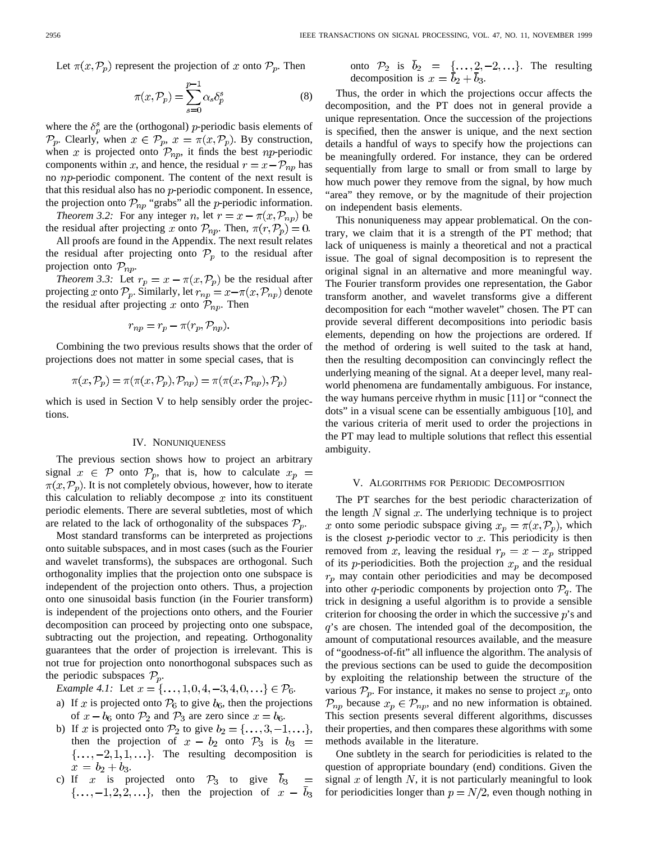Let  $\pi(x, \mathcal{P}_p)$  represent the projection of x onto  $\mathcal{P}_p$ . Then

$$
\pi(x, \mathcal{P}_p) = \sum_{s=0}^{p-1} \alpha_s \delta_p^s \tag{8}
$$

where the  $\delta_p^s$  are the (orthogonal) *p*-periodic basis elements of  $\mathcal{P}_p$ . Clearly, when  $x \in \mathcal{P}_p$ ,  $x = \pi(x, \mathcal{P}_p)$ . By construction, when x is projected onto  $\mathcal{P}_{np}$ , it finds the best  $np$ -periodic components within x, and hence, the residual  $r = x - \mathcal{P}_{np}$  has no  $np$ -periodic component. The content of the next result is that this residual also has no  $p$ -periodic component. In essence, the projection onto  $\mathcal{P}_{np}$  "grabs" all the *p*-periodic information.

*Theorem 3.2:* For any integer *n*, let  $r = x - \pi(x, P_{np})$  be the residual after projecting x onto  $\mathcal{P}_{np}$ . Then,  $\pi(r, \mathcal{P}_p) = 0$ .

All proofs are found in the Appendix. The next result relates the residual after projecting onto  $\mathcal{P}_p$  to the residual after projection onto  $\mathcal{P}_{np}$ .

*Theorem 3.3:* Let  $r_p = x - \pi(x, P_p)$  be the residual after projecting x onto  $P_p$ . Similarly, let  $r_{np} = x - \pi(x, P_{np})$  denote the residual after projecting x onto  $\mathcal{P}_{np}$ . Then

$$
r_{np} = r_p - \pi(r_p, \mathcal{P}_{np}).
$$

Combining the two previous results shows that the order of projections does not matter in some special cases, that is

$$
\pi(x, \mathcal{P}_p) = \pi(\pi(x, \mathcal{P}_p), \mathcal{P}_{np}) = \pi(\pi(x, \mathcal{P}_{np}), \mathcal{P}_p)
$$

which is used in Section V to help sensibly order the projections.

#### IV. NONUNIQUENESS

The previous section shows how to project an arbitrary signal  $x \in \mathcal{P}$  onto  $\mathcal{P}_p$ , that is, how to calculate  $x_p =$  $\pi(x, \mathcal{P}_p)$ . It is not completely obvious, however, how to iterate this calculation to reliably decompose  $x$  into its constituent periodic elements. There are several subtleties, most of which are related to the lack of orthogonality of the subspaces  $P_p$ .

Most standard transforms can be interpreted as projections onto suitable subspaces, and in most cases (such as the Fourier and wavelet transforms), the subspaces are orthogonal. Such orthogonality implies that the projection onto one subspace is independent of the projection onto others. Thus, a projection onto one sinusoidal basis function (in the Fourier transform) is independent of the projections onto others, and the Fourier decomposition can proceed by projecting onto one subspace, subtracting out the projection, and repeating. Orthogonality guarantees that the order of projection is irrelevant. This is not true for projection onto nonorthogonal subspaces such as the periodic subspaces  $P_p$ .

*Example 4.1:* Let  $x = \{..., 1, 0, 4, -3, 4, 0, ...\} \in \mathcal{P}_6$ .

- a) If x is projected onto  $P_6$  to give  $b_6$ , then the projections of  $x - b_6$  onto  $\mathcal{P}_2$  and  $\mathcal{P}_3$  are zero since  $x = b_6$ .
- b) If x is projected onto  $\mathcal{P}_2$  to give  $b_2 = \{\ldots, 3, -1, \ldots\}$ , then the projection of  $x - b_2$  onto  $\mathcal{P}_3$  is  $b_3 =$  $\{\ldots, -2, 1, 1, \ldots\}$ . The resulting decomposition is  $x = b_2 + b_3.$
- c) If x is projected onto  $\mathcal{P}_3$  to give  $\overline{b}_3$  $\{\ldots, -1, 2, 2, \ldots\}$ , then the projection of  $x - \bar{b}_3$

onto  $\mathcal{P}_2$  is  $b_2 = \{\ldots, 2, -2, \ldots\}$ . The resulting decomposition is  $x = b_2 + b_3$ .

Thus, the order in which the projections occur affects the decomposition, and the PT does not in general provide a unique representation. Once the succession of the projections is specified, then the answer is unique, and the next section details a handful of ways to specify how the projections can be meaningfully ordered. For instance, they can be ordered sequentially from large to small or from small to large by how much power they remove from the signal, by how much "area" they remove, or by the magnitude of their projection on independent basis elements.

This nonuniqueness may appear problematical. On the contrary, we claim that it is a strength of the PT method; that lack of uniqueness is mainly a theoretical and not a practical issue. The goal of signal decomposition is to represent the original signal in an alternative and more meaningful way. The Fourier transform provides one representation, the Gabor transform another, and wavelet transforms give a different decomposition for each "mother wavelet" chosen. The PT can provide several different decompositions into periodic basis elements, depending on how the projections are ordered. If the method of ordering is well suited to the task at hand, then the resulting decomposition can convincingly reflect the underlying meaning of the signal. At a deeper level, many realworld phenomena are fundamentally ambiguous. For instance, the way humans perceive rhythm in music [11] or "connect the dots" in a visual scene can be essentially ambiguous [10], and the various criteria of merit used to order the projections in the PT may lead to multiple solutions that reflect this essential ambiguity.

#### V. ALGORITHMS FOR PERIODIC DECOMPOSITION

The PT searches for the best periodic characterization of the length  $N$  signal  $x$ . The underlying technique is to project x onto some periodic subspace giving  $x_p = \pi(x, \mathcal{P}_p)$ , which is the closest  $p$ -periodic vector to  $x$ . This periodicity is then removed from x, leaving the residual  $r_p = x - x_p$  stripped of its *p*-periodicities. Both the projection  $x_p$  and the residual  $r_p$  may contain other periodicities and may be decomposed into other q-periodic components by projection onto  $\mathcal{P}_q$ . The trick in designing a useful algorithm is to provide a sensible criterion for choosing the order in which the successive  $p$ 's and  $q$ 's are chosen. The intended goal of the decomposition, the amount of computational resources available, and the measure of "goodness-of-fit" all influence the algorithm. The analysis of the previous sections can be used to guide the decomposition by exploiting the relationship between the structure of the various  $P_p$ . For instance, it makes no sense to project  $x_p$  onto  $\mathcal{P}_{np}$  because  $x_p \in \mathcal{P}_{np}$ , and no new information is obtained. This section presents several different algorithms, discusses their properties, and then compares these algorithms with some methods available in the literature.

One subtlety in the search for periodicities is related to the question of appropriate boundary (end) conditions. Given the signal  $x$  of length  $N$ , it is not particularly meaningful to look for periodicities longer than  $p = N/2$ , even though nothing in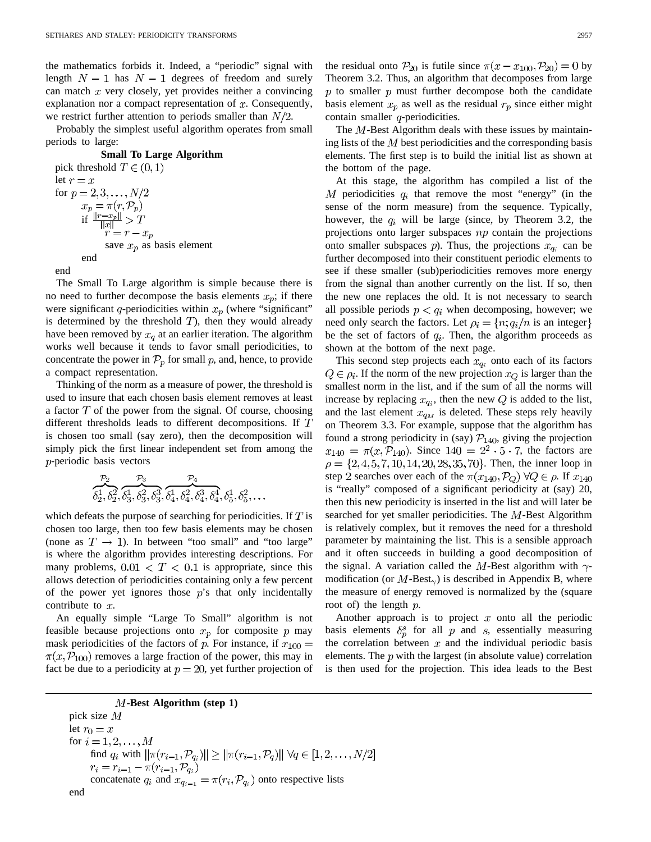the mathematics forbids it. Indeed, a "periodic" signal with length  $N-1$  has  $N-1$  degrees of freedom and surely can match  $x$  very closely, yet provides neither a convincing explanation nor a compact representation of  $x$ . Consequently, we restrict further attention to periods smaller than  $N/2$ .

Probably the simplest useful algorithm operates from small periods to large:

## **Small To Large Algorithm**

\n pick threshold 
$$
T \in (0, 1)
$$
.\n   
\n let  $r = x$ .\n   
\n for  $p = 2, 3, \ldots, N/2$ .\n   
\n $x_p = \pi(r, \mathcal{P}_p)$ .\n   
\n if  $\frac{||r - x_p||}{||x||} > T$ .\n   
\n $r = r - x_p$ .\n   
\n save  $x_p$  as basis element.\n   
\n end\n

end

The Small To Large algorithm is simple because there is no need to further decompose the basis elements  $x_p$ ; if there were significant  $q$ -periodicities within  $x_p$  (where "significant" is determined by the threshold  $T$ ), then they would already have been removed by  $x_q$  at an earlier iteration. The algorithm works well because it tends to favor small periodicities, to concentrate the power in  $\mathcal{P}_p$  for small p, and, hence, to provide a compact representation.

Thinking of the norm as a measure of power, the threshold is used to insure that each chosen basis element removes at least a factor  $T$  of the power from the signal. Of course, choosing different thresholds leads to different decompositions. If  $T$ is chosen too small (say zero), then the decomposition will simply pick the first linear independent set from among the  $p$ -periodic basis vectors

$$
\overbrace{\delta_2^1, \delta_2^2, \delta_3^1, \delta_3^2, \delta_3^3}^{\mathcal{P}_3}, \overbrace{\delta_4^1, \delta_4^2, \delta_4^3, \delta_4^4}^{\mathcal{P}_4}, \delta_5^1, \delta_5^2, \ldots
$$

which defeats the purpose of searching for periodicities. If  $T$  is chosen too large, then too few basis elements may be chosen (none as  $T \rightarrow 1$ ). In between "too small" and "too large" is where the algorithm provides interesting descriptions. For many problems,  $0.01 < T < 0.1$  is appropriate, since this allows detection of periodicities containing only a few percent of the power yet ignores those  $p$ 's that only incidentally contribute to  $x$ .

An equally simple "Large To Small" algorithm is not feasible because projections onto  $x_p$  for composite p may mask periodicities of the factors of p. For instance, if  $x_{100} =$  $\pi(x, P_{100})$  removes a large fraction of the power, this may in fact be due to a periodicity at  $p = 20$ , yet further projection of

the residual onto  $\mathcal{P}_{20}$  is futile since  $\pi(x - x_{100}, \mathcal{P}_{20}) = 0$  by Theorem 3.2. Thus, an algorithm that decomposes from large  $p$  to smaller  $p$  must further decompose both the candidate basis element  $x_p$  as well as the residual  $r_p$  since either might contain smaller  $q$ -periodicities.

The  $M$ -Best Algorithm deals with these issues by maintaining lists of the  $M$  best periodicities and the corresponding basis elements. The first step is to build the initial list as shown at the bottom of the page.

At this stage, the algorithm has compiled a list of the M periodicities  $q_i$  that remove the most "energy" (in the sense of the norm measure) from the sequence. Typically, however, the  $q_i$  will be large (since, by Theorem 3.2, the projections onto larger subspaces  $np$  contain the projections onto smaller subspaces p). Thus, the projections  $x_{q_i}$  can be further decomposed into their constituent periodic elements to see if these smaller (sub)periodicities removes more energy from the signal than another currently on the list. If so, then the new one replaces the old. It is not necessary to search all possible periods  $p < q_i$  when decomposing, however; we need only search the factors. Let  $\rho_i = \{n; q_i/n \text{ is an integer}\}\$ be the set of factors of  $q_i$ . Then, the algorithm proceeds as shown at the bottom of the next page.

This second step projects each  $x_{q_i}$  onto each of its factors  $Q \in \rho_i$ . If the norm of the new projection  $x_Q$  is larger than the smallest norm in the list, and if the sum of all the norms will increase by replacing  $x_{q_i}$ , then the new  $Q$  is added to the list, and the last element  $x_{q_M}$  is deleted. These steps rely heavily on Theorem 3.3. For example, suppose that the algorithm has found a strong periodicity in (say)  $\mathcal{P}_{140}$ , giving the projection  $x_{140} = \pi(x, \mathcal{P}_{140})$ . Since  $140 = 2^2 \cdot 5 \cdot 7$ , the factors are  $\rho = \{2, 4, 5, 7, 10, 14, 20, 28, 35, 70\}$ . Then, the inner loop in step 2 searches over each of the  $\pi(x_{140}, \mathcal{P}_Q)$   $\forall Q \in \rho$ . If  $x_{140}$ is "really" composed of a significant periodicity at (say) 20, then this new periodicity is inserted in the list and will later be searched for yet smaller periodicities. The  $M$ -Best Algorithm is relatively complex, but it removes the need for a threshold parameter by maintaining the list. This is a sensible approach and it often succeeds in building a good decomposition of the signal. A variation called the M-Best algorithm with  $\gamma$ modification (or  $M$ -Best<sub> $\gamma$ </sub>) is described in Appendix B, where the measure of energy removed is normalized by the (square root of) the length  $p$ .

Another approach is to project  $x$  onto all the periodic basis elements  $\delta_p^s$  for all p and s, essentially measuring the correlation between  $x$  and the individual periodic basis elements. The  $p$  with the largest (in absolute value) correlation is then used for the projection. This idea leads to the Best

# **-Best Algorithm (step 1)**

\n pick size 
$$
M
$$
 let  $r_0 = x$  for  $i = 1, 2, \ldots, M$  find  $q_i$  with  $||\pi(r_{i-1}, \mathcal{P}_{q_i})|| \geq ||\pi(r_{i-1}, \mathcal{P}_q)|| \,\forall q \in [1, 2, \ldots, N/2]$ .\n  $r_i = r_{i-1} - \pi(r_{i-1}, \mathcal{P}_{q_i})$  \n concatenate  $q_i$  and  $x_{q_{i-1}} = \pi(r_i, \mathcal{P}_{q_i})$  \n onto respective lists end\n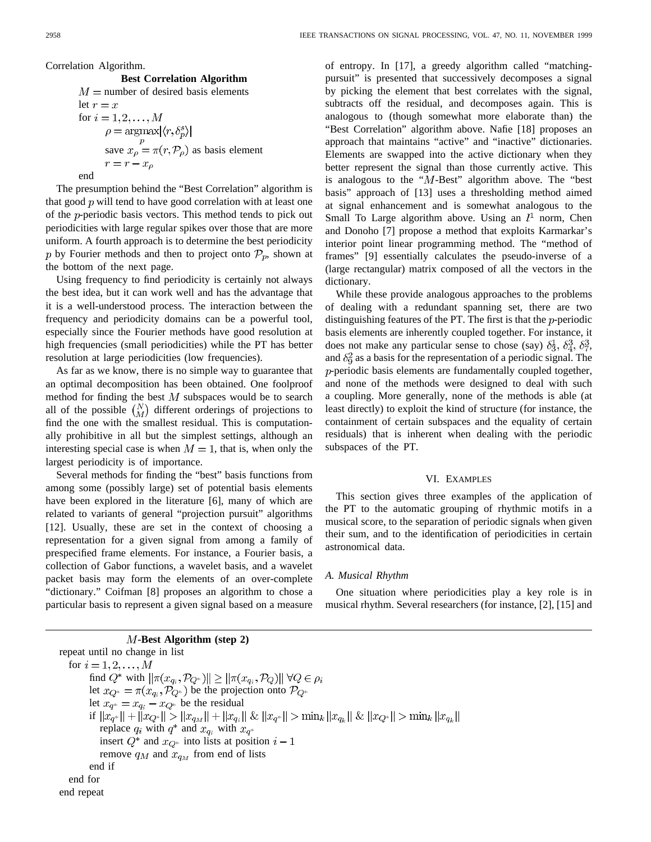Correlation Algorithm.

**Best Correlation Algorithm**  
\n
$$
M =
$$
 number of desired basis elements  
\nlet  $r = x$   
\nfor  $i = 1, 2, ..., M$   
\n $\rho = \underset{p}{\operatorname{argmax}} |\langle r, \delta_p^s \rangle|$   
\nsave  $x_\rho = \pi(r, \mathcal{P}_\rho)$  as basis element  
\n $r = r - x_\rho$   
\nend

The presumption behind the "Best Correlation" algorithm is that good  $p$  will tend to have good correlation with at least one of the  $p$ -periodic basis vectors. This method tends to pick out periodicities with large regular spikes over those that are more uniform. A fourth approach is to determine the best periodicity p by Fourier methods and then to project onto  $\mathcal{P}_p$ , shown at the bottom of the next page.

Using frequency to find periodicity is certainly not always the best idea, but it can work well and has the advantage that it is a well-understood process. The interaction between the frequency and periodicity domains can be a powerful tool, especially since the Fourier methods have good resolution at high frequencies (small periodicities) while the PT has better resolution at large periodicities (low frequencies).

As far as we know, there is no simple way to guarantee that an optimal decomposition has been obtained. One foolproof method for finding the best  $M$  subspaces would be to search all of the possible  $\begin{pmatrix} N \\ M \end{pmatrix}$  different orderings of projections to find the one with the smallest residual. This is computationally prohibitive in all but the simplest settings, although an interesting special case is when  $M = 1$ , that is, when only the largest periodicity is of importance.

Several methods for finding the "best" basis functions from among some (possibly large) set of potential basis elements have been explored in the literature [6], many of which are related to variants of general "projection pursuit" algorithms [12]. Usually, these are set in the context of choosing a representation for a given signal from among a family of prespecified frame elements. For instance, a Fourier basis, a collection of Gabor functions, a wavelet basis, and a wavelet packet basis may form the elements of an over-complete "dictionary." Coifman [8] proposes an algorithm to chose a particular basis to represent a given signal based on a measure of entropy. In [17], a greedy algorithm called "matchingpursuit" is presented that successively decomposes a signal by picking the element that best correlates with the signal, subtracts off the residual, and decomposes again. This is analogous to (though somewhat more elaborate than) the "Best Correlation" algorithm above. Nafie [18] proposes an approach that maintains "active" and "inactive" dictionaries. Elements are swapped into the active dictionary when they better represent the signal than those currently active. This is analogous to the " $M$ -Best" algorithm above. The "best basis" approach of [13] uses a thresholding method aimed at signal enhancement and is somewhat analogous to the Small To Large algorithm above. Using an  $l^1$  norm, Chen and Donoho [7] propose a method that exploits Karmarkar's interior point linear programming method. The "method of frames" [9] essentially calculates the pseudo-inverse of a (large rectangular) matrix composed of all the vectors in the dictionary.

While these provide analogous approaches to the problems of dealing with a redundant spanning set, there are two distinguishing features of the PT. The first is that the  $p$ -periodic basis elements are inherently coupled together. For instance, it does not make any particular sense to chose (say)  $\delta_3^1$ ,  $\delta_4^3$ ,  $\delta_7^3$ , and  $\delta_9^2$  as a basis for the representation of a periodic signal. The  $p$ -periodic basis elements are fundamentally coupled together, and none of the methods were designed to deal with such a coupling. More generally, none of the methods is able (at least directly) to exploit the kind of structure (for instance, the containment of certain subspaces and the equality of certain residuals) that is inherent when dealing with the periodic subspaces of the PT.

#### VI. EXAMPLES

This section gives three examples of the application of the PT to the automatic grouping of rhythmic motifs in a musical score, to the separation of periodic signals when given their sum, and to the identification of periodicities in certain astronomical data.

#### *A. Musical Rhythm*

One situation where periodicities play a key role is in musical rhythm. Several researchers (for instance, [2], [15] and

| $M$ -Best Algorithm (step 2)                                                                                                     |
|----------------------------------------------------------------------------------------------------------------------------------|
| repeat until no change in list                                                                                                   |
| for $i = 1, 2, , M$                                                                                                              |
| find $Q^*$ with $\ \pi(x_{a_i}, \mathcal{P}_{Q^*})\  \ge \ \pi(x_{a_i}, \mathcal{P}_Q)\  \ \forall Q \in \rho_i$                 |
| let $x_{Q^*} = \pi(x_{q_i}, \mathcal{P}_{Q^*})$ be the projection onto $\mathcal{P}_{Q^*}$                                       |
| let $x_{q^*} = x_{q_i} - x_{Q^*}$ be the residual                                                                                |
| if $  x_{a^*}   +   x_{a^*}   >   x_{a^M}   +   x_{a^*}   \&   x_{a^*}   > min_k   x_{a^*}   \&   x_{a^*}   > min_k   x_{a^*}  $ |
| replace $q_i$ with $q^*$ and $x_{q_i}$ with $x_{q^*}$                                                                            |
| insert $Q^*$ and $x_{Q^*}$ into lists at position $i-1$                                                                          |
| remove $q_M$ and $x_{q_M}$ from end of lists                                                                                     |
| end if                                                                                                                           |
| end for                                                                                                                          |
| end repeat                                                                                                                       |
|                                                                                                                                  |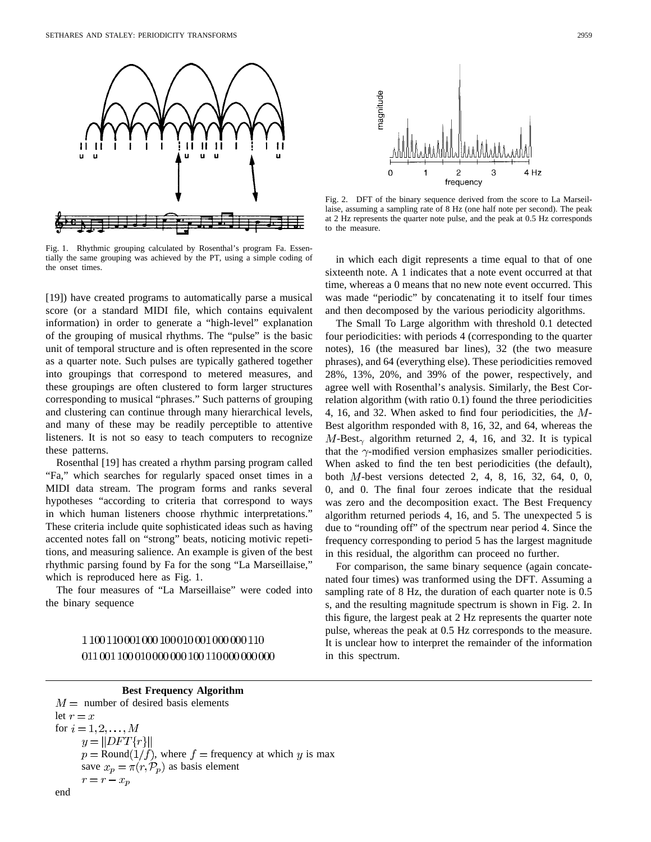

Fig. 1. Rhythmic grouping calculated by Rosenthal's program Fa. Essentially the same grouping was achieved by the PT, using a simple coding of the onset times.

[19]) have created programs to automatically parse a musical score (or a standard MIDI file, which contains equivalent information) in order to generate a "high-level" explanation of the grouping of musical rhythms. The "pulse" is the basic unit of temporal structure and is often represented in the score as a quarter note. Such pulses are typically gathered together into groupings that correspond to metered measures, and these groupings are often clustered to form larger structures corresponding to musical "phrases." Such patterns of grouping and clustering can continue through many hierarchical levels, and many of these may be readily perceptible to attentive listeners. It is not so easy to teach computers to recognize these patterns.

Rosenthal [19] has created a rhythm parsing program called "Fa," which searches for regularly spaced onset times in a MIDI data stream. The program forms and ranks several hypotheses "according to criteria that correspond to ways in which human listeners choose rhythmic interpretations." These criteria include quite sophisticated ideas such as having accented notes fall on "strong" beats, noticing motivic repetitions, and measuring salience. An example is given of the best rhythmic parsing found by Fa for the song "La Marseillaise," which is reproduced here as Fig. 1.

The four measures of "La Marseillaise" were coded into the binary sequence

# 1 100 110 001 000 100 010 001 000 000 110



Fig. 2. DFT of the binary sequence derived from the score to La Marseillaise, assuming a sampling rate of 8 Hz (one half note per second). The peak at 2 Hz represents the quarter note pulse, and the peak at 0.5 Hz corresponds to the measure.

in which each digit represents a time equal to that of one sixteenth note. A 1 indicates that a note event occurred at that time, whereas a 0 means that no new note event occurred. This was made "periodic" by concatenating it to itself four times and then decomposed by the various periodicity algorithms.

The Small To Large algorithm with threshold 0.1 detected four periodicities: with periods 4 (corresponding to the quarter notes), 16 (the measured bar lines), 32 (the two measure phrases), and 64 (everything else). These periodicities removed 28%, 13%, 20%, and 39% of the power, respectively, and agree well with Rosenthal's analysis. Similarly, the Best Correlation algorithm (with ratio 0.1) found the three periodicities 4, 16, and 32. When asked to find four periodicities, the  $M$ -Best algorithm responded with 8, 16, 32, and 64, whereas the  $M$ -Best<sub> $\gamma$ </sub> algorithm returned 2, 4, 16, and 32. It is typical that the  $\gamma$ -modified version emphasizes smaller periodicities. When asked to find the ten best periodicities (the default), both  $M$ -best versions detected 2, 4, 8, 16, 32, 64, 0, 0, 0, and 0. The final four zeroes indicate that the residual was zero and the decomposition exact. The Best Frequency algorithm returned periods 4, 16, and 5. The unexpected 5 is due to "rounding off" of the spectrum near period 4. Since the frequency corresponding to period 5 has the largest magnitude in this residual, the algorithm can proceed no further.

For comparison, the same binary sequence (again concatenated four times) was tranformed using the DFT. Assuming a sampling rate of 8 Hz, the duration of each quarter note is  $0.5$ s, and the resulting magnitude spectrum is shown in Fig. 2. In this figure, the largest peak at 2 Hz represents the quarter note pulse, whereas the peak at 0.5 Hz corresponds to the measure. It is unclear how to interpret the remainder of the information in this spectrum.

```
Best Frequency Algorithm
M = number of desired basis elements
let r = xfor i = 1, 2, ..., My = ||DFT\{r\}||p = \text{Round}(1/f), where f = \text{frequency at which } y \text{ is max}save x_p = \pi(r, P_p) as basis element
      r = r - x_p
```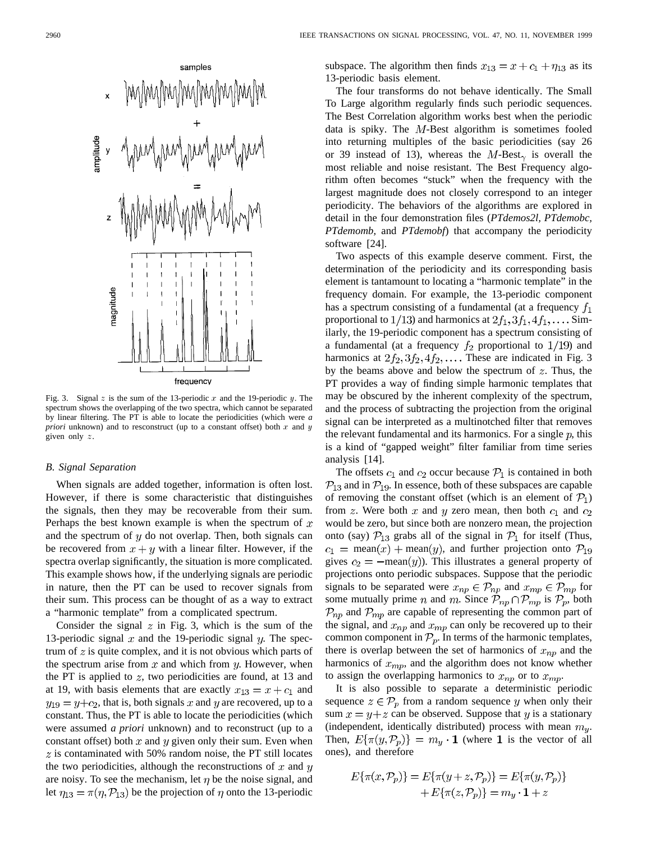

Fig. 3. Signal  $z$  is the sum of the 13-periodic  $x$  and the 19-periodic  $y$ . The spectrum shows the overlapping of the two spectra, which cannot be separated by linear filtering. The PT is able to locate the periodicities (which were *a priori* unknown) and to resconstruct (up to a constant offset) both  $x$  and  $y$ given only z.

#### *B. Signal Separation*

When signals are added together, information is often lost. However, if there is some characteristic that distinguishes the signals, then they may be recoverable from their sum. Perhaps the best known example is when the spectrum of  $x$ and the spectrum of  $y$  do not overlap. Then, both signals can be recovered from  $x + y$  with a linear filter. However, if the spectra overlap significantly, the situation is more complicated. This example shows how, if the underlying signals are periodic in nature, then the PT can be used to recover signals from their sum. This process can be thought of as a way to extract a "harmonic template" from a complicated spectrum.

Consider the signal  $z$  in Fig. 3, which is the sum of the 13-periodic signal x and the 19-periodic signal y. The spectrum of  $z$  is quite complex, and it is not obvious which parts of the spectrum arise from  $x$  and which from  $y$ . However, when the PT is applied to  $z$ , two periodicities are found, at 13 and at 19, with basis elements that are exactly  $x_{13} = x + c_1$  and  $y_{19} = y + c_2$ , that is, both signals x and y are recovered, up to a constant. Thus, the PT is able to locate the periodicities (which were assumed *a priori* unknown) and to reconstruct (up to a constant offset) both  $x$  and  $y$  given only their sum. Even when  $z$  is contaminated with 50% random noise, the PT still locates the two periodicities, although the reconstructions of  $x$  and  $y$ are noisy. To see the mechanism, let  $\eta$  be the noise signal, and let  $\eta_{13} = \pi(\eta, \mathcal{P}_{13})$  be the projection of  $\eta$  onto the 13-periodic subspace. The algorithm then finds  $x_{13} = x + c_1 + \eta_{13}$  as its 13-periodic basis element.

The four transforms do not behave identically. The Small To Large algorithm regularly finds such periodic sequences. The Best Correlation algorithm works best when the periodic data is spiky. The  $M$ -Best algorithm is sometimes fooled into returning multiples of the basic periodicities (say 26 or 39 instead of 13), whereas the M-Best<sub> $\gamma$ </sub> is overall the most reliable and noise resistant. The Best Frequency algorithm often becomes "stuck" when the frequency with the largest magnitude does not closely correspond to an integer periodicity. The behaviors of the algorithms are explored in detail in the four demonstration files (*PTdemos2l, PTdemobc, PTdemomb,* and *PTdemobf*) that accompany the periodicity software [24].

Two aspects of this example deserve comment. First, the determination of the periodicity and its corresponding basis element is tantamount to locating a "harmonic template" in the frequency domain. For example, the 13-periodic component has a spectrum consisting of a fundamental (at a frequency  $f_1$ proportional to  $1/13$ ) and harmonics at  $2f_1, 3f_1, 4f_1, \ldots$  Similarly, the 19-periodic component has a spectrum consisting of a fundamental (at a frequency  $f_2$  proportional to  $1/19$ ) and harmonics at  $2f_2, 3f_2, 4f_2, \ldots$ . These are indicated in Fig. 3 by the beams above and below the spectrum of  $z$ . Thus, the PT provides a way of finding simple harmonic templates that may be obscured by the inherent complexity of the spectrum, and the process of subtracting the projection from the original signal can be interpreted as a multinotched filter that removes the relevant fundamental and its harmonics. For a single  $p$ , this is a kind of "gapped weight" filter familiar from time series analysis [14].

The offsets  $c_1$  and  $c_2$  occur because  $\mathcal{P}_1$  is contained in both  $P_{13}$  and in  $P_{19}$ . In essence, both of these subspaces are capable of removing the constant offset (which is an element of  $\mathcal{P}_1$ ) from z. Were both x and y zero mean, then both  $c_1$  and  $c_2$ would be zero, but since both are nonzero mean, the projection onto (say)  $\mathcal{P}_{13}$  grabs all of the signal in  $\mathcal{P}_1$  for itself (Thus,  $c_1 = \text{mean}(x) + \text{mean}(y)$ , and further projection onto  $\mathcal{P}_{19}$ gives  $c_2 = -$ mean $(y)$ ). This illustrates a general property of projections onto periodic subspaces. Suppose that the periodic signals to be separated were  $x_{np} \in \mathcal{P}_{np}$  and  $x_{mp} \in \mathcal{P}_{mp}$  for some mutually prime *n* and *m*. Since  $\mathcal{P}_{np} \cap \mathcal{P}_{mp}$  is  $\mathcal{P}_p$ , both  $\mathcal{P}_{np}$  and  $\mathcal{P}_{mp}$  are capable of representing the common part of the signal, and  $x_{np}$  and  $x_{mp}$  can only be recovered up to their common component in  $P_p$ . In terms of the harmonic templates, there is overlap between the set of harmonics of  $x_{np}$  and the harmonics of  $x_{mp}$ , and the algorithm does not know whether to assign the overlapping harmonics to  $x_{np}$  or to  $x_{mp}$ .

It is also possible to separate a deterministic periodic sequence  $z \in \mathcal{P}_p$  from a random sequence y when only their sum  $x = y + z$  can be observed. Suppose that y is a stationary (independent, identically distributed) process with mean  $m_y$ . Then,  $E{\pi(y, P_p)} = m_y \cdot 1$  (where 1 is the vector of all ones), and therefore

$$
E{\pi(x, P_p)} = E{\pi(y + z, P_p)} = E{\pi(y, P_p)} + E{\pi(z, P_p)} = m_y \cdot 1 + z
$$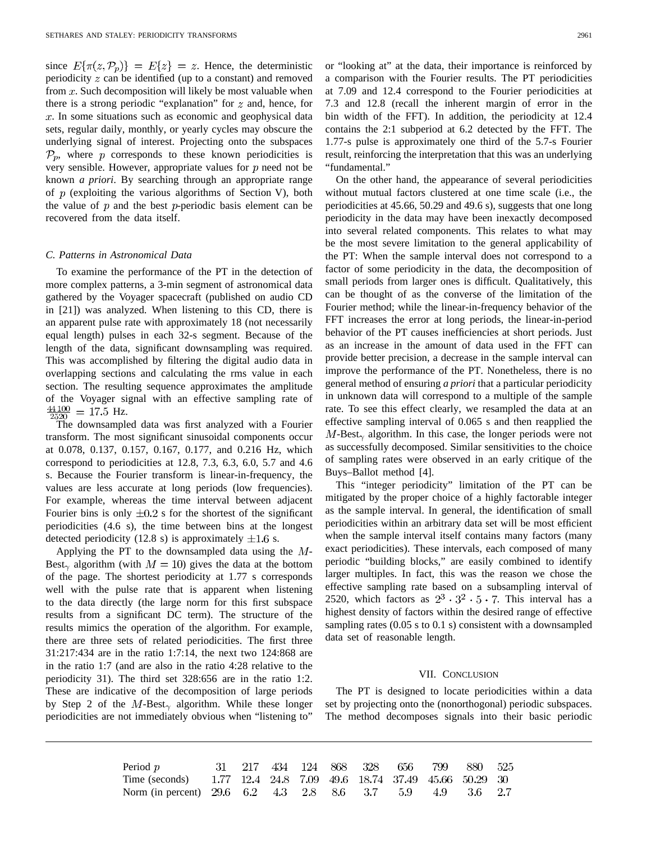since  $E{\lbrace \pi(z, P_p) \rbrace} = E{z} = z$ . Hence, the deterministic periodicity  $z$  can be identified (up to a constant) and removed from  $x$ . Such decomposition will likely be most valuable when there is a strong periodic "explanation" for  $z$  and, hence, for  $x$ . In some situations such as economic and geophysical data sets, regular daily, monthly, or yearly cycles may obscure the underlying signal of interest. Projecting onto the subspaces  $\mathcal{P}_p$ , where p corresponds to these known periodicities is very sensible. However, appropriate values for  $p$  need not be known *a priori*. By searching through an appropriate range of  $p$  (exploiting the various algorithms of Section V), both the value of  $p$  and the best  $p$ -periodic basis element can be recovered from the data itself.

#### *C. Patterns in Astronomical Data*

To examine the performance of the PT in the detection of more complex patterns, a 3-min segment of astronomical data gathered by the Voyager spacecraft (published on audio CD in [21]) was analyzed. When listening to this CD, there is an apparent pulse rate with approximately 18 (not necessarily equal length) pulses in each 32-s segment. Because of the length of the data, significant downsampling was required. This was accomplished by filtering the digital audio data in overlapping sections and calculating the rms value in each section. The resulting sequence approximates the amplitude of the Voyager signal with an effective sampling rate of  $\frac{44100}{2520} = 17.5$  Hz.

The downsampled data was first analyzed with a Fourier transform. The most significant sinusoidal components occur at 0.078, 0.137, 0.157, 0.167, 0.177, and 0.216 Hz, which correspond to periodicities at 12.8, 7.3, 6.3, 6.0, 5.7 and 4.6 s. Because the Fourier transform is linear-in-frequency, the values are less accurate at long periods (low frequencies). For example, whereas the time interval between adjacent Fourier bins is only  $\pm 0.2$  s for the shortest of the significant periodicities (4.6 s), the time between bins at the longest detected periodicity (12.8 s) is approximately  $\pm 1.6$  s.

Applying the PT to the downsampled data using the  $M$ -Best<sub> $\gamma$ </sub> algorithm (with  $M = 10$ ) gives the data at the bottom of the page. The shortest periodicity at 1.77 s corresponds well with the pulse rate that is apparent when listening to the data directly (the large norm for this first subspace results from a significant DC term). The structure of the results mimics the operation of the algorithm. For example, there are three sets of related periodicities. The first three 31:217:434 are in the ratio 1:7:14, the next two 124:868 are in the ratio 1:7 (and are also in the ratio 4:28 relative to the periodicity 31). The third set 328:656 are in the ratio 1:2. These are indicative of the decomposition of large periods by Step 2 of the  $M$ -Best<sub> $\gamma$ </sub> algorithm. While these longer periodicities are not immediately obvious when "listening to"

or "looking at" at the data, their importance is reinforced by a comparison with the Fourier results. The PT periodicities at 7.09 and 12.4 correspond to the Fourier periodicities at 7.3 and 12.8 (recall the inherent margin of error in the bin width of the FFT). In addition, the periodicity at 12.4 contains the 2:1 subperiod at 6.2 detected by the FFT. The 1.77-s pulse is approximately one third of the 5.7-s Fourier result, reinforcing the interpretation that this was an underlying "fundamental."

On the other hand, the appearance of several periodicities without mutual factors clustered at one time scale (i.e., the periodicities at 45.66, 50.29 and 49.6 s), suggests that one long periodicity in the data may have been inexactly decomposed into several related components. This relates to what may be the most severe limitation to the general applicability of the PT: When the sample interval does not correspond to a factor of some periodicity in the data, the decomposition of small periods from larger ones is difficult. Qualitatively, this can be thought of as the converse of the limitation of the Fourier method; while the linear-in-frequency behavior of the FFT increases the error at long periods, the linear-in-period behavior of the PT causes inefficiencies at short periods. Just as an increase in the amount of data used in the FFT can provide better precision, a decrease in the sample interval can improve the performance of the PT. Nonetheless, there is no general method of ensuring *a priori* that a particular periodicity in unknown data will correspond to a multiple of the sample rate. To see this effect clearly, we resampled the data at an effective sampling interval of 0.065 s and then reapplied the  $M$ -Best<sub> $\gamma$ </sub> algorithm. In this case, the longer periods were not as successfully decomposed. Similar sensitivities to the choice of sampling rates were observed in an early critique of the Buys–Ballot method [4].

This "integer periodicity" limitation of the PT can be mitigated by the proper choice of a highly factorable integer as the sample interval. In general, the identification of small periodicities within an arbitrary data set will be most efficient when the sample interval itself contains many factors (many exact periodicities). These intervals, each composed of many periodic "building blocks," are easily combined to identify larger multiples. In fact, this was the reason we chose the effective sampling rate based on a subsampling interval of 2520, which factors as  $2^3 \cdot 3^2 \cdot 5 \cdot 7$ . This interval has a highest density of factors within the desired range of effective sampling rates (0.05 s to 0.1 s) consistent with a downsampled data set of reasonable length.

#### VII. CONCLUSION

The PT is designed to locate periodicities within a data set by projecting onto the (nonorthogonal) periodic subspaces. The method decomposes signals into their basic periodic

| Period <i>p</i>                                                    |  |  |  |  | 31 217 434 124 868 328 656 799 880 525 |  |
|--------------------------------------------------------------------|--|--|--|--|----------------------------------------|--|
| Time (seconds) 1.77 12.4 24.8 7.09 49.6 18.74 37.49 45.66 50.29 30 |  |  |  |  |                                        |  |
| Norm (in percent) 29.6 6.2 4.3 2.8 8.6 3.7 5.9 4.9 3.6 2.7         |  |  |  |  |                                        |  |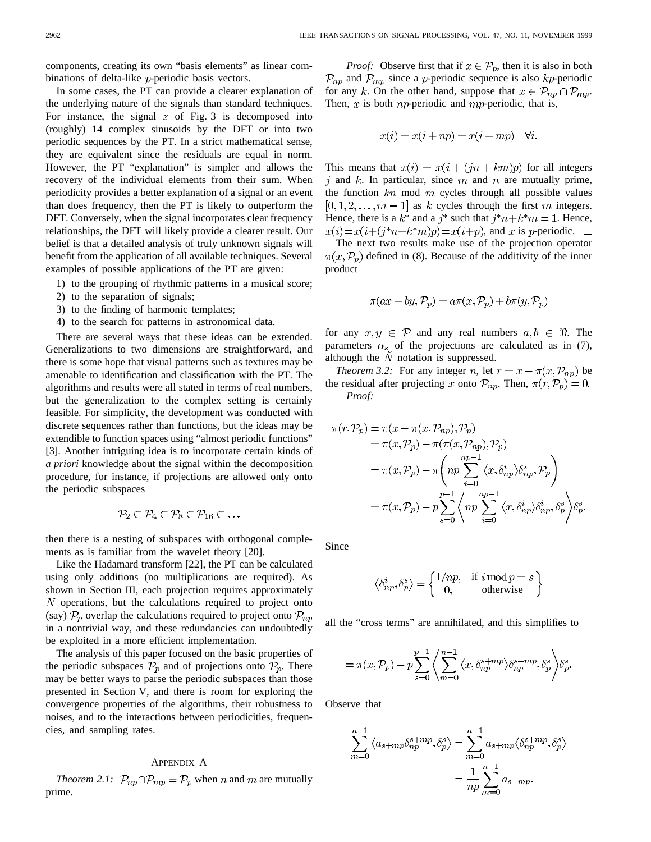components, creating its own "basis elements" as linear combinations of delta-like  $p$ -periodic basis vectors.

In some cases, the PT can provide a clearer explanation of the underlying nature of the signals than standard techniques. For instance, the signal  $z$  of Fig. 3 is decomposed into (roughly) 14 complex sinusoids by the DFT or into two periodic sequences by the PT. In a strict mathematical sense, they are equivalent since the residuals are equal in norm. However, the PT "explanation" is simpler and allows the recovery of the individual elements from their sum. When periodicity provides a better explanation of a signal or an event than does frequency, then the PT is likely to outperform the DFT. Conversely, when the signal incorporates clear frequency relationships, the DFT will likely provide a clearer result. Our belief is that a detailed analysis of truly unknown signals will benefit from the application of all available techniques. Several examples of possible applications of the PT are given:

- 1) to the grouping of rhythmic patterns in a musical score;
- 2) to the separation of signals;
- 3) to the finding of harmonic templates;
- 4) to the search for patterns in astronomical data.

There are several ways that these ideas can be extended. Generalizations to two dimensions are straightforward, and there is some hope that visual patterns such as textures may be amenable to identification and classification with the PT. The algorithms and results were all stated in terms of real numbers, but the generalization to the complex setting is certainly feasible. For simplicity, the development was conducted with discrete sequences rather than functions, but the ideas may be extendible to function spaces using "almost periodic functions" [3]. Another intriguing idea is to incorporate certain kinds of *a priori* knowledge about the signal within the decomposition procedure, for instance, if projections are allowed only onto the periodic subspaces

$$
\mathcal{P}_2 \subset \mathcal{P}_4 \subset \mathcal{P}_8 \subset \mathcal{P}_{16} \subset \dots
$$

then there is a nesting of subspaces with orthogonal complements as is familiar from the wavelet theory [20].

Like the Hadamard transform [22], the PT can be calculated using only additions (no multiplications are required). As shown in Section III, each projection requires approximately  $N$  operations, but the calculations required to project onto (say)  $\mathcal{P}_p$  overlap the calculations required to project onto  $\mathcal{P}_{np}$ in a nontrivial way, and these redundancies can undoubtedly be exploited in a more efficient implementation.

The analysis of this paper focused on the basic properties of the periodic subspaces  $\mathcal{P}_p$  and of projections onto  $\mathcal{P}_p$ . There may be better ways to parse the periodic subspaces than those presented in Section V, and there is room for exploring the convergence properties of the algorithms, their robustness to noises, and to the interactions between periodicities, frequencies, and sampling rates.

## APPENDIX A

*Theorem 2.1:*  $\mathcal{P}_{np} \cap \mathcal{P}_{mp} = \mathcal{P}_p$  when *n* and *m* are mutually prime.

*Proof:* Observe first that if  $x \in \mathcal{P}_p$ , then it is also in both  $\mathcal{P}_{np}$  and  $\mathcal{P}_{mp}$  since a p-periodic sequence is also kp-periodic for any k. On the other hand, suppose that  $x \in \mathcal{P}_{np} \cap \mathcal{P}_{mp}$ . Then,  $x$  is both  $np$ -periodic and  $mp$ -periodic, that is,

$$
x(i) = x(i + np) = x(i + mp) \quad \forall i
$$

This means that  $x(i) = x(i + (jn + km)p)$  for all integers  $j$  and  $k$ . In particular, since  $m$  and  $n$  are mutually prime, the function  $kn$  mod  $m$  cycles through all possible values  $[0,1,2,\ldots,m-1]$  as k cycles through the first m integers. Hence, there is a  $k^*$  and a  $j^*$  such that  $j^*n+k^*m=1$ . Hence,  $x(i) = x(i+(j*n+k*m)p) = x(i+p)$ , and x is p-periodic.  $\Box$ 

The next two results make use of the projection operator  $\pi(x, \mathcal{P}_p)$  defined in (8). Because of the additivity of the inner product

$$
\pi(ax + by, \mathcal{P}_p) = a\pi(x, \mathcal{P}_p) + b\pi(y, \mathcal{P}_p)
$$

for any  $x, y \in \mathcal{P}$  and any real numbers  $a, b \in \mathbb{R}$ . The parameters  $\alpha_s$  of the projections are calculated as in (7), although the  $N$  notation is suppressed.

*Theorem 3.2:* For any integer *n*, let  $r = x - \pi(x, P_{np})$  be the residual after projecting x onto  $\mathcal{P}_{np}$ . Then,  $\pi(r, \mathcal{P}_p) = 0$ . *Proof:*

$$
\pi(r, \mathcal{P}_p) = \pi(x - \pi(x, \mathcal{P}_{np}), \mathcal{P}_p)
$$
  
\n
$$
= \pi(x, \mathcal{P}_p) - \pi(\pi(x, \mathcal{P}_{np}), \mathcal{P}_p)
$$
  
\n
$$
= \pi(x, \mathcal{P}_p) - \pi\left(np \sum_{i=0}^{np-1} \langle x, \delta_{np}^i \rangle \delta_{np}^i, \mathcal{P}_p\right)
$$
  
\n
$$
= \pi(x, \mathcal{P}_p) - p \sum_{s=0}^{p-1} \left\langle np \sum_{i=0}^{np-1} \langle x, \delta_{np}^i \rangle \delta_{np}^i, \delta_p^s \right\rangle \delta_p^s.
$$

Since

$$
\left\langle \delta_{np}^i,\delta_p^s\right\rangle = \left\{\begin{matrix} 1/np, & \text{if $i$ mod $p=s$}\\ 0, & \text{otherwise} \end{matrix}\right\}
$$

all the "cross terms" are annihilated, and this simplifies to

$$
= \pi(x, \mathcal{P}_p) - p \sum_{s=0}^{p-1} \left\langle \sum_{m=0}^{n-1} \left\langle x, \delta_{np}^{s+mp} \right\rangle \delta_{np}^{s+mp}, \delta_p^s \right\rangle \delta_p^s.
$$

Observe that

$$
\sum_{m=0}^{n-1} \langle a_{s+mp} \delta_{np}^{s+mp}, \delta_p^s \rangle = \sum_{m=0}^{n-1} a_{s+mp} \langle \delta_{np}^{s+mp}, \delta_p^s \rangle
$$

$$
= \frac{1}{np} \sum_{m=0}^{n-1} a_{s+mp}.
$$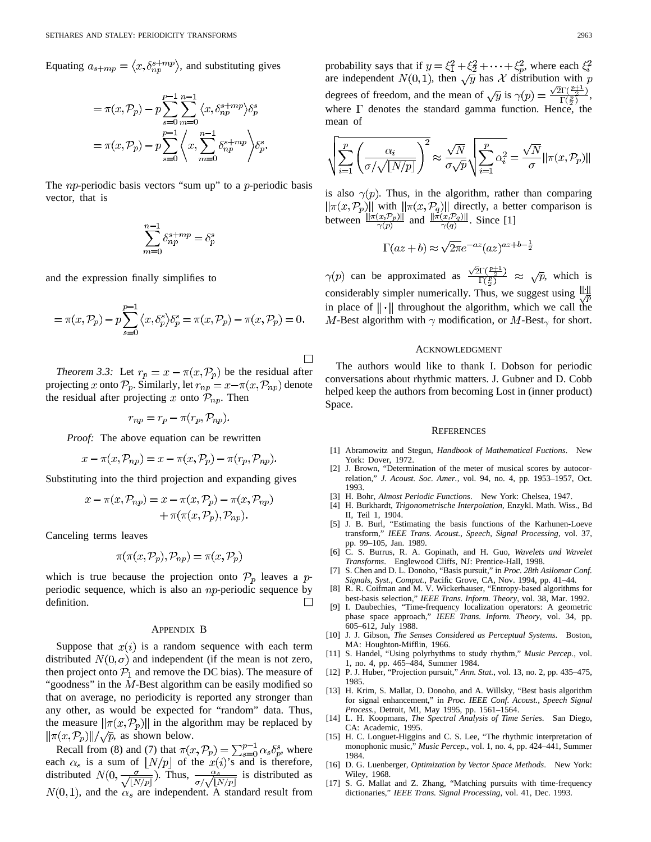Equating  $a_{s+mp} = \langle x, \delta_{np}^{s+mp} \rangle$ , and substituting gives

$$
= \pi(x, \mathcal{P}_p) - p \sum_{s=0}^{p-1} \sum_{m=0}^{n-1} \langle x, \delta_{np}^{s+mp} \rangle \delta_p^s
$$
  

$$
= \pi(x, \mathcal{P}_p) - p \sum_{s=0}^{p-1} \langle x, \sum_{m=0}^{n-1} \delta_{np}^{s+mp} \rangle \delta_p^s.
$$

The  $np$ -periodic basis vectors "sum up" to a  $p$ -periodic basis vector, that is

$$
\sum_{m=0}^{n-1} \delta_{np}^{s+mp} = \delta_p^s
$$

and the expression finally simplifies to

$$
= \pi(x, \mathcal{P}_p) - p \sum_{s=0}^{p-1} \langle x, \delta_p^s \rangle \delta_p^s = \pi(x, \mathcal{P}_p) - \pi(x, \mathcal{P}_p) = 0.
$$

*Theorem 3.3:* Let  $r_p = x - \pi(x, P_p)$  be the residual after projecting x onto  $P_p$ . Similarly, let  $r_{np} = x - \pi(x, P_{np})$  denote the residual after projecting x onto  $\mathcal{P}_{np}$ . Then

 $\Box$ 

$$
r_{np} = r_p - \pi(r_p, \mathcal{P}_{np}).
$$

*Proof:* The above equation can be rewritten

$$
x - \pi(x, \mathcal{P}_{np}) = x - \pi(x, \mathcal{P}_p) - \pi(r_p, \mathcal{P}_{np}).
$$

Substituting into the third projection and expanding gives

$$
x - \pi(x, \mathcal{P}_{np}) = x - \pi(x, \mathcal{P}_p) - \pi(x, \mathcal{P}_{np})
$$

$$
+ \pi(\pi(x, \mathcal{P}_p), \mathcal{P}_{np}).
$$

Canceling terms leaves

$$
\pi(\pi(x, \mathcal{P}_p), \mathcal{P}_{np}) = \pi(x, \mathcal{P}_p)
$$

which is true because the projection onto  $\mathcal{P}_p$  leaves a  $p$ periodic sequence, which is also an  $np$ -periodic sequence by definition.  $\Box$ 

#### APPENDIX B

Suppose that  $x(i)$  is a random sequence with each term distributed  $N(0, \sigma)$  and independent (if the mean is not zero, then project onto  $P_1$  and remove the DC bias). The measure of "goodness" in the  $M$ -Best algorithm can be easily modified so that on average, no periodicity is reported any stronger than any other, as would be expected for "random" data. Thus, the measure  $\|\pi(x, \mathcal{P}_p)\|$  in the algorithm may be replaced by  $\|\pi(x, \mathcal{P}_p)\|/\sqrt{p}$ , as shown below.

Recall from (8) and (7) that  $\pi(x, \mathcal{P}_p) = \sum_{s=0}^{p-1} \alpha_s \delta_p^s$ , where each  $\alpha_s$  is a sum of  $|N/p|$  of the  $x(i)$ 's and is therefore, distributed  $N(0, \frac{\sigma}{\sqrt{N(1-\sigma)}})$ . Thus,  $\frac{\alpha_s}{\sqrt{N(1-\sigma)}}$  is distributed as  $N(0, 1)$ , and the  $\alpha_s$  are independent. A standard result from probability says that if  $y = \xi_1^2 + \xi_2^2 + \cdots + \xi_p^2$ , where each  $\xi_i^2$ are independent  $N(0, 1)$ , then  $\sqrt{y}$  has  $\mathcal X$  distribution with  $p$ degrees of freedom, and the mean of  $\sqrt{y}$  is  $\gamma(p) = \frac{\sqrt{21}(\frac{p}{\sqrt{2}})}{\Gamma(p)}$ , where  $\Gamma$  denotes the standard gamma function. Hence, the mean of

$$
\sqrt{\sum_{i=1}^{p} \left(\frac{\alpha_i}{\sigma/\sqrt{[N/p]}}\right)^2} \approx \frac{\sqrt{N}}{\sigma\sqrt{p}} \sqrt{\sum_{i=1}^{p} \alpha_i^2} = \frac{\sqrt{N}}{\sigma} ||\pi(x, \mathcal{P}_p)||
$$

is also  $\gamma(p)$ . Thus, in the algorithm, rather than comparing with  $\|\pi(x, \mathcal{P}_q)\|$  directly, a better comparison is between  $\frac{\|\pi(x, P_p)\|}{\sim(p)}$  and  $\frac{\|\pi(x, P_q)\|}{\sim(q)}$ . Since [1]

$$
\Gamma(az+b) \approx \sqrt{2\pi}e^{-az}(az)^{az+b-\frac{1}{2}}
$$

 $\gamma(p)$  can be approximated as  $\frac{\sqrt{2}\Gamma(\frac{p+1}{2})}{\Gamma(\frac{p}{2})} \approx \sqrt{p}$ , which is considerably simpler numerically. Thus, we suggest using  $\frac{\|\cdot\|}{\sqrt{n}}$ in place of  $\left\Vert \cdot\right\Vert$  throughout the algorithm, which we call the M-Best algorithm with  $\gamma$  modification, or M-Best<sub> $\gamma$ </sub> for short.

#### ACKNOWLEDGMENT

The authors would like to thank I. Dobson for periodic conversations about rhythmic matters. J. Gubner and D. Cobb helped keep the authors from becoming Lost in (inner product) Space.

#### **REFERENCES**

- [1] Abramowitz and Stegun, *Handbook of Mathematical Fuctions*. New York: Dover, 1972.
- [2] J. Brown, "Determination of the meter of musical scores by autocorrelation," *J. Acoust. Soc. Amer.*, vol. 94, no. 4, pp. 1953–1957, Oct. 1993.
- [3] H. Bohr, *Almost Periodic Functions*. New York: Chelsea, 1947.
- [4] H. Burkhardt, *Trigonometrische Interpolation*, Enzykl. Math. Wiss., Bd II, Teil 1, 1904.
- [5] J. B. Burl, "Estimating the basis functions of the Karhunen-Loeve transform," *IEEE Trans. Acoust., Speech, Signal Processing*, vol. 37, pp. 99–105, Jan. 1989.
- [6] C. S. Burrus, R. A. Gopinath, and H. Guo, *Wavelets and Wavelet Transforms*. Englewood Cliffs, NJ: Prentice-Hall, 1998.
- [7] S. Chen and D. L. Donoho, "Basis pursuit," in *Proc. 28th Asilomar Conf. Signals, Syst., Comput.*, Pacific Grove, CA, Nov. 1994, pp. 41–44.
- [8] R. R. Coifman and M. V. Wickerhauser, "Entropy-based algorithms for best-basis selection," *IEEE Trans. Inform. Theory*, vol. 38, Mar. 1992.
- [9] I. Daubechies, "Time-frequency localization operators: A geometric phase space approach," *IEEE Trans. Inform. Theory*, vol. 34, pp. 605–612, July 1988.
- [10] J. J. Gibson, *The Senses Considered as Perceptual Systems*. Boston, MA: Houghton-Mifflin, 1966.
- [11] S. Handel, "Using polyrhythms to study rhythm," Music Percep., vol. 1, no. 4, pp. 465–484, Summer 1984.
- [12] P. J. Huber, "Projection pursuit," *Ann. Stat.*, vol. 13, no. 2, pp. 435–475, 1985.
- [13] H. Krim, S. Mallat, D. Donoho, and A. Willsky, "Best basis algorithm for signal enhancement," in *Proc. IEEE Conf. Acoust., Speech Signal Process.*, Detroit, MI, May 1995, pp. 1561–1564.
- [14] L. H. Koopmans, *The Spectral Analysis of Time Series*. San Diego, CA: Academic, 1995.
- [15] H. C. Longuet-Higgins and C. S. Lee, "The rhythmic interpretation of monophonic music," *Music Percep.*, vol. 1, no. 4, pp. 424–441, Summer 1984.
- [16] D. G. Luenberger, *Optimization by Vector Space Methods*. New York: Wiley, 1968.
- S. G. Mallat and Z. Zhang, "Matching pursuits with time-frequency dictionaries," *IEEE Trans. Signal Processing*, vol. 41, Dec. 1993.